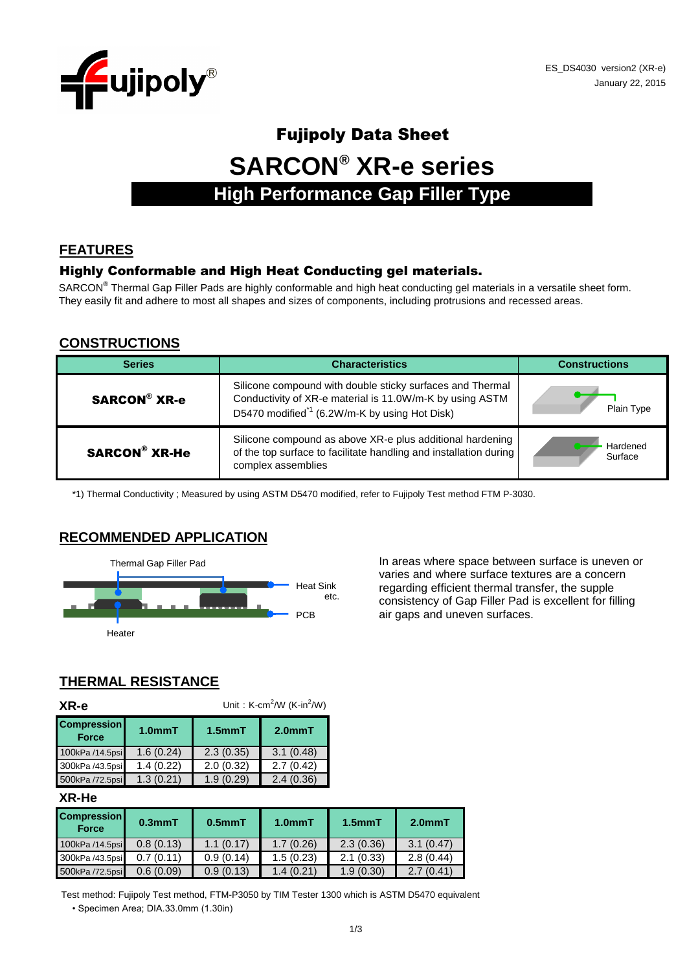

# Fujipoly Data Sheet **SARCON® XR-e series High Performance Gap Filler Type**

## **FEATURES**

#### Highly Conformable and High Heat Conducting gel materials.

SARCON<sup>®</sup> Thermal Gap Filler Pads are highly conformable and high heat conducting gel materials in a versatile sheet form. They easily fit and adhere to most all shapes and sizes of components, including protrusions and recessed areas.

#### **CONSTRUCTIONS**

| <b>Series</b>        | <b>Characteristics</b>                                                                                                                                                             | <b>Constructions</b> |
|----------------------|------------------------------------------------------------------------------------------------------------------------------------------------------------------------------------|----------------------|
| <b>SARCON® XR-e</b>  | Silicone compound with double sticky surfaces and Thermal<br>Conductivity of XR-e material is 11.0W/m-K by using ASTM<br>D5470 modified <sup>*1</sup> (6.2W/m-K by using Hot Disk) | Plain Type           |
| <b>SARCON® XR-He</b> | Silicone compound as above XR-e plus additional hardening<br>of the top surface to facilitate handling and installation during<br>complex assemblies                               | Hardened<br>Surface  |

\*1) Thermal Conductivity ; Measured by using ASTM D5470 modified, refer to Fujipoly Test method FTM P-3030.

#### **RECOMMENDED APPLICATION**



varies and where surface textures are a concern regarding efficient thermal transfer, the supple consistency of Gap Filler Pad is excellent for filling PCB air gaps and uneven surfaces.

## **THERMAL RESISTANCE**

| XR-e                               | Unit: $K-cm^2/W$ ( $K-in^2/W$ ) |              |           |  |  |
|------------------------------------|---------------------------------|--------------|-----------|--|--|
| <b>Compression</b><br><b>Force</b> | 1.0 <sub>mm</sub> T             | $1.5$ mm $T$ | $2.0mm$ T |  |  |
| 100kPa /14.5psi                    | 1.6(0.24)                       | 2.3(0.35)    | 3.1(0.48) |  |  |
| 300kPa /43.5psi                    | 1.4(0.22)                       | 2.0(0.32)    | 2.7(0.42) |  |  |
| 500kPa /72.5psi                    | 1.3(0.21)                       | 1.9(0.29)    | 2.4(0.36) |  |  |

#### **XR-He**

| <b>Compression</b><br><b>Force</b> | $0.3$ mm $T$ | $0.5$ mm $T$ | 1.0 <sub>mm</sub> T | $1.5mm$ T | $2.0mm$ T |
|------------------------------------|--------------|--------------|---------------------|-----------|-----------|
| 100kPa /14.5psi                    | 0.8(0.13)    | 1.1(0.17)    | 1.7(0.26)           | 2.3(0.36) | 3.1(0.47) |
| 300kPa /43.5psi                    | 0.7(0.11)    | 0.9(0.14)    | 1.5(0.23)           | 2.1(0.33) | 2.8(0.44) |
| 500kPa /72.5psi                    | 0.6(0.09)    | 0.9(0.13)    | 1.4(0.21)           | 1.9(0.30) | (0.41)    |

• Specimen Area; DIA.33.0mm (1.30in) Test method: Fujipoly Test method, FTM-P3050 by TIM Tester 1300 which is ASTM D5470 equivalent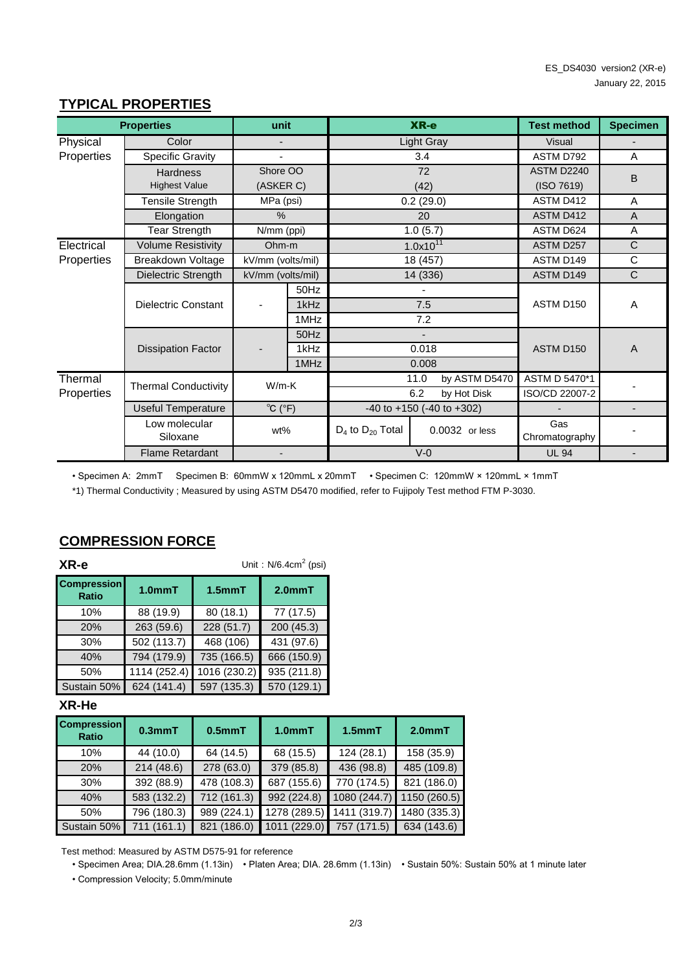## **TYPICAL PROPERTIES**

|            | <b>Properties</b>           | unit                              |      |                         | XR-e                                | <b>Test method</b>    | <b>Specimen</b> |
|------------|-----------------------------|-----------------------------------|------|-------------------------|-------------------------------------|-----------------------|-----------------|
| Physical   | Color                       |                                   |      |                         | <b>Light Gray</b>                   | <b>Visual</b>         |                 |
| Properties | <b>Specific Gravity</b>     |                                   |      |                         | 3.4                                 | ASTM D792             | A               |
|            | <b>Hardness</b>             | Shore OO                          |      |                         | 72                                  | ASTM D2240            | B               |
|            | <b>Highest Value</b>        | (ASKER C)                         |      |                         | (42)                                | (ISO 7619)            |                 |
|            | <b>Tensile Strength</b>     | MPa (psi)                         |      |                         | 0.2(29.0)                           | ASTM D412             | A               |
|            | Elongation                  | $\%$                              |      |                         | 20                                  | ASTM D412             | $\overline{A}$  |
|            | <b>Tear Strength</b>        | N/mm (ppi)                        |      |                         | 1.0(5.7)                            | ASTM D624             | Α               |
| Electrical | <b>Volume Resistivity</b>   | Ohm-m                             |      |                         | $1.0x10^{11}$                       | ASTM D257             | C               |
| Properties | Breakdown Voltage           | kV/mm (volts/mil)                 |      |                         | 18 (457)                            | ASTM D149             | C               |
|            | Dielectric Strength         | kV/mm (volts/mil)                 |      |                         | 14 (336)                            | <b>ASTM D149</b>      | $\mathsf{C}$    |
|            |                             |                                   | 50Hz |                         |                                     |                       |                 |
|            | Dielectric Constant         |                                   | 1kHz |                         | 7.5                                 | ASTM D150             | A               |
|            |                             |                                   | 1MHz |                         | 7.2                                 |                       |                 |
|            |                             |                                   | 50Hz |                         |                                     |                       |                 |
|            | <b>Dissipation Factor</b>   |                                   | 1kHz |                         | 0.018                               | ASTM D150             | $\overline{A}$  |
|            |                             |                                   | 1MHz |                         | 0.008                               |                       |                 |
| Thermal    | <b>Thermal Conductivity</b> | $W/m-K$                           |      |                         | 11.0<br>by ASTM D5470               | ASTM D 5470*1         |                 |
| Properties |                             |                                   |      |                         | 6.2<br>by Hot Disk                  | ISO/CD 22007-2        |                 |
|            | <b>Useful Temperature</b>   | $^{\circ}C$ ( $^{\circ}F$ )       |      |                         | $-40$ to $+150$ ( $-40$ to $+302$ ) |                       |                 |
|            | Low molecular<br>Siloxane   | wt%                               |      | $D_4$ to $D_{20}$ Total | 0.0032 or less                      | Gas<br>Chromatography |                 |
|            | <b>Flame Retardant</b>      | $V-0$<br>$\overline{\phantom{0}}$ |      | <b>UL 94</b>            |                                     |                       |                 |

• Specimen A: 2mmT Specimen B: 60mmW x 120mmL x 20mmT • Specimen C: 120mmW × 120mmL × 1mmT

\*1) Thermal Conductivity ; Measured by using ASTM D5470 modified, refer to Fujipoly Test method FTM P-3030.

| XR-e                               | Unit: $N/6.4$ cm <sup>2</sup> (psi) |              |                     |  |
|------------------------------------|-------------------------------------|--------------|---------------------|--|
| <b>Compression</b><br><b>Ratio</b> | 1.0mmT                              | $1.5$ mm $T$ | 2.0 <sub>mm</sub> T |  |
| 10%                                | 88 (19.9)                           | 80 (18.1)    | 77 (17.5)           |  |
| 20%                                | 263 (59.6)                          | 228 (51.7)   | 200 (45.3)          |  |
| 30%                                | 502 (113.7)                         | 468 (106)    | 431 (97.6)          |  |
| 40%                                | 794 (179.9)                         | 735 (166.5)  | 666 (150.9)         |  |
| 50%                                | 1114 (252.4)                        | 1016 (230.2) | 935 (211.8)         |  |
| Sustain 50%                        | 624 (141.4)                         | 597 (135.3)  | 570 (129.1)         |  |

#### **COMPRESSION FORCE**

#### **XR-He**

| <b>Compression</b><br><b>Ratio</b> | 0.3 <sub>mm</sub> T | 0.5 <sub>mm</sub> T     | 1.0 <sub>mm</sub> T      | $1.5$ mm $T$             | $2.0mm$ T    |
|------------------------------------|---------------------|-------------------------|--------------------------|--------------------------|--------------|
| 10%                                | 44 (10.0)           | 64 (14.5)               | 68 (15.5)                | 124(28.1)                | 158 (35.9)   |
| 20%                                | 214(48.6)           | 278 (63.0)              | 379 (85.8)               | 436 (98.8)               | 485 (109.8)  |
| 30%                                | 392 (88.9)          | $\overline{478(108.3)}$ | $\overline{687}$ (155.6) | $\overline{770}$ (174.5) | 821 (186.0)  |
| 40%                                | 583 (132.2)         | 712 (161.3)             | 992 (224.8)              | 1080 (244.7)             | 1150 (260.5) |
| 50%                                | 796 (180.3)         | 989 (224.1)             | 1278 (289.5)             | 1411 (319.7)             | 1480 (335.3) |
| Sustain 50%                        | 711 (161.1)         | 821 (186.0)             | 1011 (229.0)             | 757 (171.5)              | 634 (143.6)  |

Test method: Measured by ASTM D575-91 for reference

• Specimen Area; DIA.28.6mm (1.13in) • Platen Area; DIA. 28.6mm (1.13in) • Sustain 50%: Sustain 50% at 1 minute later

• Compression Velocity; 5.0mm/minute